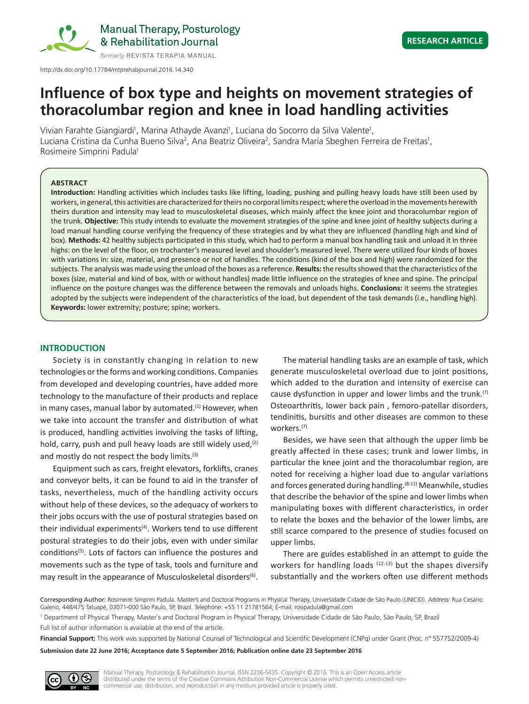

Manual Therapy, Posturology & Rehabilitation Journal

http://dx.doi.org/10.17784/mtprehabjournal.2016.14.340

# **Influence of box type and heights on movement strategies of thoracolumbar region and knee in load handling activities**

Vivian Farahte Giangiardi<sup>1</sup>, Marina Athayde Avanzi<sup>1</sup>, Luciana do Socorro da Silva Valente<sup>1</sup>, Luciana Cristina da Cunha Bueno Silva<sup>2</sup>, Ana Beatriz Oliveira<sup>2</sup>, Sandra Maria Sbeghen Ferreira de Freitas<sup>1</sup>, Rosimeire Simprini Padula1

#### **ABSTRACT**

**Introduction:** Handling activities which includes tasks like lifting, loading, pushing and pulling heavy loads have still been used by workers, in general, this activities are characterized for theirs no corporal limits respect; where the overload in the movements herewith theirs duration and intensity may lead to musculoskeletal diseases, which mainly affect the knee joint and thoracolumbar region of the trunk. **Objective:** This study intends to evaluate the movement strategies of the spine and knee joint of healthy subjects during a load manual handling course verifying the frequency of these strategies and by what they are influenced (handling high and kind of box). **Methods:** 42 healthy subjects participated in this study, which had to perform a manual box handling task and unload it in three highs: on the level of the floor, on trochanter's measured level and shoulder's measured level. There were utilized four kinds of boxes with variations in: size, material, and presence or not of handles. The conditions (kind of the box and high) were randomized for the subjects. The analysis was made using the unload of the boxes as a reference. **Results:** the results showed that the characteristics of the boxes (size, material and kind of box, with or without handles) made little influence on the strategies of knee and spine. The principal influence on the posture changes was the difference between the removals and unloads highs. **Conclusions:** it seems the strategies adopted by the subjects were independent of the characteristics of the load, but dependent of the task demands (i.e., handling high). **Keywords:** lower extremity; posture; spine; workers.

## **INTRODUCTION**

Society is in constantly changing in relation to new technologies or the forms and working conditions. Companies from developed and developing countries, have added more technology to the manufacture of their products and replace in many cases, manual labor by automated. $(1)$  However, when we take into account the transfer and distribution of what is produced, handling activities involving the tasks of lifting, hold, carry, push and pull heavy loads are still widely used, $(2)$ and mostly do not respect the body limits.<sup>(3)</sup>

Equipment such as cars, freight elevators, forklifts, cranes and conveyor belts, it can be found to aid in the transfer of tasks, nevertheless, much of the handling activity occurs without help of these devices, so the adequacy of workers to their jobs occurs with the use of postural strategies based on their individual experiments<sup>(4)</sup>. Workers tend to use different postural strategies to do their jobs, even with under similar conditions<sup>(5)</sup>. Lots of factors can influence the postures and movements such as the type of task, tools and furniture and may result in the appearance of Musculoskeletal disorders<sup>(6)</sup>.

The material handling tasks are an example of task, which generate musculoskeletal overload due to joint positions, which added to the duration and intensity of exercise can cause dysfunction in upper and lower limbs and the trunk.<sup>(7)</sup> Osteoarthritis, lower back pain , femoro-patellar disorders, tendinitis, bursitis and other diseases are common to these workers.(7)

Besides, we have seen that although the upper limb be greatly affected in these cases; trunk and lower limbs, in particular the knee joint and the thoracolumbar region, are noted for receiving a higher load due to angular variations and forces generated during handling.<sup>(8-11)</sup> Meanwhile, studies that describe the behavior of the spine and lower limbs when manipulating boxes with different characteristics, in order to relate the boxes and the behavior of the lower limbs, are still scarce compared to the presence of studies focused on upper limbs.

There are guides established in an attempt to guide the workers for handling loads  $(12-13)$  but the shapes diversify substantially and the workers often use different methods

**Financial Support:** This work was supported by National Counsel of Technological and Scientific Development (CNPq) under Grant (Proc. nº 557752/2009-4)

**Submission date 22 June 2016; Acceptance date 5 September 2016; Publication online date 23 September 2016**



Corresponding Author: Rosimeire Simprini Padula. Master's and Doctoral Programs in Physical Therapy, Universidade Cidade de São Paulo (UNICID). Address: Rua Cesário Galeno, 448/475 Tatuapé, 03071-000 São Paulo, SP, Brazil. Telephone: +55 11 21781564; E-mail: rosipadula@gmail.com

<sup>1</sup> Department of Physical Therapy, Master´s and Doctoral Program in Physical Therapy, Universidade Cidade de São Paulo, São Paulo, SP, Brazil Full list of author information is available at the end of the article.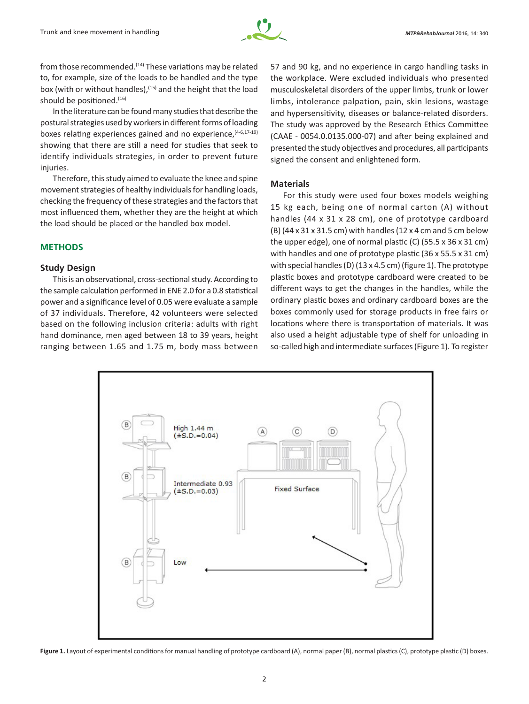

from those recommended.<sup>(14)</sup> These variations may be related to, for example, size of the loads to be handled and the type box (with or without handles),<sup>(15)</sup> and the height that the load should be positioned.<sup>(16)</sup>

In the literature can be found many studies that describe the postural strategies used by workers in different forms of loading boxes relating experiences gained and no experience,  $(4-6,17-19)$ showing that there are still a need for studies that seek to identify individuals strategies, in order to prevent future injuries.

Therefore, this study aimed to evaluate the knee and spine movement strategies of healthy individuals for handling loads, checking the frequency of these strategies and the factors that most influenced them, whether they are the height at which the load should be placed or the handled box model.

### **METHODS**

## **Study Design**

This is an observational, cross-sectional study. According to the sample calculation performed in ENE 2.0 for a 0.8 statistical power and a significance level of 0.05 were evaluate a sample of 37 individuals. Therefore, 42 volunteers were selected based on the following inclusion criteria: adults with right hand dominance, men aged between 18 to 39 years, height ranging between 1.65 and 1.75 m, body mass between

57 and 90 kg, and no experience in cargo handling tasks in the workplace. Were excluded individuals who presented musculoskeletal disorders of the upper limbs, trunk or lower limbs, intolerance palpation, pain, skin lesions, wastage and hypersensitivity, diseases or balance-related disorders. The study was approved by the Research Ethics Committee (CAAE - 0054.0.0135.000-07) and after being explained and presented the study objectives and procedures, all participants signed the consent and enlightened form.

## **Materials**

For this study were used four boxes models weighing 15 kg each, being one of normal carton (A) without handles (44 x 31 x 28 cm), one of prototype cardboard (B) (44 x 31 x 31.5 cm) with handles (12 x 4 cm and 5 cm below the upper edge), one of normal plastic (C) (55.5 x 36 x 31 cm) with handles and one of prototype plastic (36 x 55.5 x 31 cm) with special handles (D) (13 x 4.5 cm) (figure 1). The prototype plastic boxes and prototype cardboard were created to be different ways to get the changes in the handles, while the ordinary plastic boxes and ordinary cardboard boxes are the boxes commonly used for storage products in free fairs or locations where there is transportation of materials. It was also used a height adjustable type of shelf for unloading in so-called high and intermediate surfaces (Figure 1). To register



Figure 1. Layout of experimental conditions for manual handling of prototype cardboard (A), normal paper (B), normal plastics (C), prototype plastic (D) boxes.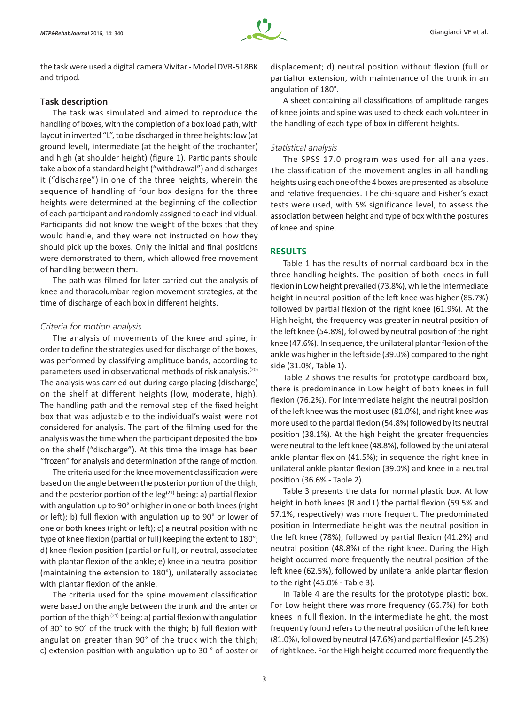the task were used a digital camera Vivitar - Model DVR-518BK and tripod.

#### **Task description**

The task was simulated and aimed to reproduce the handling of boxes, with the completion of a box load path, with layout in inverted "L", to be discharged in three heights: low (at ground level), intermediate (at the height of the trochanter) and high (at shoulder height) (figure 1). Participants should take a box of a standard height ("withdrawal") and discharges it ("discharge") in one of the three heights, wherein the sequence of handling of four box designs for the three heights were determined at the beginning of the collection of each participant and randomly assigned to each individual. Participants did not know the weight of the boxes that they would handle, and they were not instructed on how they should pick up the boxes. Only the initial and final positions were demonstrated to them, which allowed free movement of handling between them.

The path was filmed for later carried out the analysis of knee and thoracolumbar region movement strategies, at the time of discharge of each box in different heights.

#### *Criteria for motion analysis*

The analysis of movements of the knee and spine, in order to define the strategies used for discharge of the boxes, was performed by classifying amplitude bands, according to parameters used in observational methods of risk analysis.<sup>(20)</sup> The analysis was carried out during cargo placing (discharge) on the shelf at different heights (low, moderate, high). The handling path and the removal step of the fixed height box that was adjustable to the individual's waist were not considered for analysis. The part of the filming used for the analysis was the time when the participant deposited the box on the shelf ("discharge"). At this time the image has been "frozen" for analysis and determination of the range of motion.

The criteria used for the knee movement classification were based on the angle between the posterior portion of the thigh, and the posterior portion of the  $leg<sup>(21)</sup>$  being: a) partial flexion with angulation up to 90° or higher in one or both knees (right or left); b) full flexion with angulation up to 90° or lower of one or both knees (right or left); c) a neutral position with no type of knee flexion (partial or full) keeping the extent to 180°; d) knee flexion position (partial or full), or neutral, associated with plantar flexion of the ankle; e) knee in a neutral position (maintaining the extension to 180°), unilaterally associated with plantar flexion of the ankle.

The criteria used for the spine movement classification were based on the angle between the trunk and the anterior portion of the thigh  $(21)$  being: a) partial flexion with angulation of 30° to 90° of the truck with the thigh; b) full flexion with angulation greater than 90° of the truck with the thigh; c) extension position with angulation up to 30 ° of posterior displacement; d) neutral position without flexion (full or partial)or extension, with maintenance of the trunk in an angulation of 180°.

A sheet containing all classifications of amplitude ranges of knee joints and spine was used to check each volunteer in the handling of each type of box in different heights.

#### *Statistical analysis*

The SPSS 17.0 program was used for all analyzes. The classification of the movement angles in all handling heights using each one of the 4 boxes are presented as absolute and relative frequencies. The chi-square and Fisher's exact tests were used, with 5% significance level, to assess the association between height and type of box with the postures of knee and spine.

#### **RESULTS**

Table 1 has the results of normal cardboard box in the three handling heights. The position of both knees in full flexion in Low height prevailed (73.8%), while the Intermediate height in neutral position of the left knee was higher (85.7%) followed by partial flexion of the right knee (61.9%). At the High height, the frequency was greater in neutral position of the left knee (54.8%), followed by neutral position of the right knee (47.6%). In sequence, the unilateral plantar flexion of the ankle was higher in the left side (39.0%) compared to the right side (31.0%, Table 1).

Table 2 shows the results for prototype cardboard box, there is predominance in Low height of both knees in full flexion (76.2%). For Intermediate height the neutral position of the left knee was the most used (81.0%), and right knee was more used to the partial flexion (54.8%) followed by its neutral position (38.1%). At the high height the greater frequencies were neutral to the left knee (48.8%), followed by the unilateral ankle plantar flexion (41.5%); in sequence the right knee in unilateral ankle plantar flexion (39.0%) and knee in a neutral position (36.6% - Table 2).

Table 3 presents the data for normal plastic box. At low height in both knees (R and L) the partial flexion (59.5% and 57.1%, respectively) was more frequent. The predominated position in Intermediate height was the neutral position in the left knee (78%), followed by partial flexion (41.2%) and neutral position (48.8%) of the right knee. During the High height occurred more frequently the neutral position of the left knee (62.5%), followed by unilateral ankle plantar flexion to the right (45.0% - Table 3).

In Table 4 are the results for the prototype plastic box. For Low height there was more frequency (66.7%) for both knees in full flexion. In the intermediate height, the most frequently found refers to the neutral position of the left knee (81.0%), followed by neutral (47.6%) and partial flexion (45.2%) of right knee. For the High height occurred more frequently the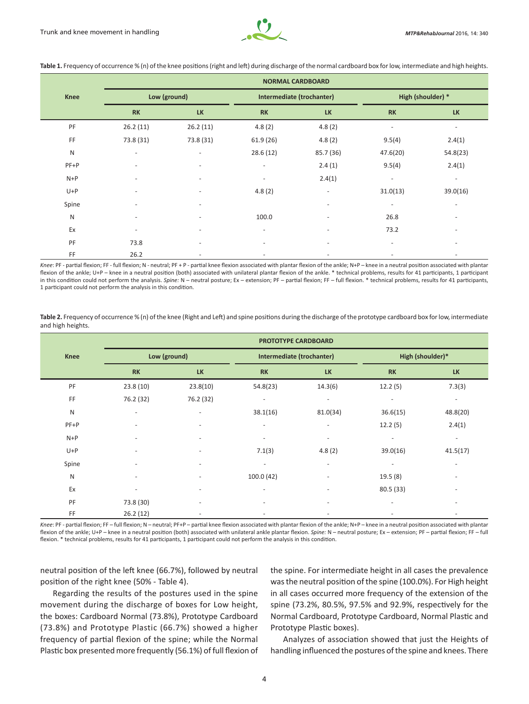

| <b>Knee</b> | <b>NORMAL CARDBOARD</b>  |                          |                           |                          |                          |                          |  |  |
|-------------|--------------------------|--------------------------|---------------------------|--------------------------|--------------------------|--------------------------|--|--|
|             | Low (ground)             |                          | Intermediate (trochanter) |                          | High (shoulder) *        |                          |  |  |
|             | <b>RK</b>                | <b>LK</b>                | <b>RK</b>                 | <b>LK</b>                | <b>RK</b>                | <b>LK</b>                |  |  |
| PF          | 26.2(11)                 | 26.2(11)                 | 4.8(2)                    | 4.8(2)                   | $\overline{\phantom{a}}$ | $\overline{\phantom{a}}$ |  |  |
| FF          | 73.8 (31)                | 73.8 (31)                | 61.9(26)                  | 4.8(2)                   | 9.5(4)                   | 2.4(1)                   |  |  |
| ${\sf N}$   | $\overline{\phantom{a}}$ | $\overline{\phantom{a}}$ | 28.6(12)                  | 85.7 (36)                | 47.6(20)                 | 54.8(23)                 |  |  |
| $PF+P$      | $\overline{\phantom{a}}$ | $\overline{\phantom{a}}$ | $\overline{\phantom{a}}$  | 2.4(1)                   | 9.5(4)                   | 2.4(1)                   |  |  |
| $N+P$       |                          | $\overline{\phantom{a}}$ | $\overline{\phantom{a}}$  | 2.4(1)                   | $\overline{\phantom{a}}$ | $\sim$                   |  |  |
| $U+P$       |                          |                          | 4.8(2)                    | $\overline{\phantom{a}}$ | 31.0(13)                 | 39.0(16)                 |  |  |
| Spine       | $\overline{\phantom{0}}$ | $\overline{\phantom{a}}$ |                           | $\overline{\phantom{a}}$ | $\overline{\phantom{a}}$ | $\overline{\phantom{a}}$ |  |  |
| ${\sf N}$   |                          | $\overline{\phantom{a}}$ | 100.0                     | $\overline{\phantom{a}}$ | 26.8                     | $\overline{\phantom{a}}$ |  |  |
| Ex          |                          | $\overline{\phantom{a}}$ |                           |                          | 73.2                     |                          |  |  |
| PF          | 73.8                     | $\overline{\phantom{a}}$ | $\overline{\phantom{a}}$  | $\overline{\phantom{a}}$ | $\overline{\phantom{a}}$ | $\overline{\phantom{a}}$ |  |  |
| FF          | 26.2                     | $\overline{\phantom{a}}$ |                           |                          |                          |                          |  |  |

**Table 1.** Frequency of occurrence % (n) of the knee positions (right and left) during discharge of the normal cardboard box for low, intermediate and high heights.

Knee: PF - partial flexion; FF - full flexion; N - neutral; PF + P - partial knee flexion associated with plantar flexion of the ankle; N+P – knee in a neutral position associated with plantar flexion of the ankle; U+P – knee in a neutral position (both) associated with unilateral plantar flexion of the ankle. \* technical problems, results for 41 participants, 1 participant in this condition could not perform the analysis. *Spine:* N – neutral posture; Ex – extension; PF – partial flexion; FF – full flexion. \* technical problems, results for 41 participants, 1 participant could not perform the analysis in this condition.

**Table 2.** Frequency of occurrence % (n) of the knee (Right and Left) and spine positions during the discharge of the prototype cardboard box for low, intermediate and high heights.

|              | <b>PROTOTYPE CARDBOARD</b> |                          |                           |                          |                          |           |  |  |
|--------------|----------------------------|--------------------------|---------------------------|--------------------------|--------------------------|-----------|--|--|
| <b>Knee</b>  | Low (ground)               |                          | Intermediate (trochanter) |                          | High (shoulder)*         |           |  |  |
|              | <b>RK</b>                  | <b>LK</b>                | <b>RK</b>                 | <b>LK</b>                | <b>RK</b>                | <b>LK</b> |  |  |
| PF           | 23.8(10)                   | 23.8(10)                 | 54.8(23)                  | 14.3(6)                  | 12.2(5)                  | 7.3(3)    |  |  |
| FF           | 76.2 (32)                  | 76.2 (32)                | $\overline{\phantom{a}}$  | $\overline{\phantom{a}}$ | $\overline{\phantom{a}}$ | $\sim$    |  |  |
| $\mathsf{N}$ |                            | $\overline{a}$           | 38.1(16)                  | 81.0(34)                 | 36.6(15)                 | 48.8(20)  |  |  |
| $PF+P$       |                            | $\overline{\phantom{a}}$ | $\overline{\phantom{a}}$  |                          | 12.2(5)                  | 2.4(1)    |  |  |
| $N+P$        |                            |                          | $\overline{\phantom{a}}$  | ٠                        | $\overline{\phantom{a}}$ | $\sim$    |  |  |
| $U+P$        |                            |                          | 7.1(3)                    | 4.8(2)                   | 39.0(16)                 | 41.5(17)  |  |  |
| Spine        |                            | $\overline{\phantom{a}}$ | $\equiv$                  | $\overline{\phantom{a}}$ | $\overline{\phantom{a}}$ | $\equiv$  |  |  |
| ${\sf N}$    |                            | $\overline{\phantom{a}}$ | 100.0 (42)                |                          | 19.5(8)                  |           |  |  |
| Ex           |                            |                          |                           |                          | 80.5 (33)                |           |  |  |
| PF           | 73.8 (30)                  | $\overline{\phantom{a}}$ | $\overline{\phantom{a}}$  |                          | $\overline{\phantom{a}}$ |           |  |  |
| FF           | 26.2(12)                   |                          |                           |                          |                          |           |  |  |

Knee: PF - partial flexion; FF – full flexion; N – neutral; PF+P – partial knee flexion associated with plantar flexion of the ankle; N+P – knee in a neutral position associated with plantar flexion of the ankle; U+P – knee in a neutral position (both) associated with unilateral ankle plantar flexion. Spine: N – neutral posture; Ex – extension; PF – partial flexion; FF – full flexion. \* technical problems, results for 41 participants, 1 participant could not perform the analysis in this condition.

neutral position of the left knee (66.7%), followed by neutral position of the right knee (50% - Table 4).

Regarding the results of the postures used in the spine movement during the discharge of boxes for Low height, the boxes: Cardboard Normal (73.8%), Prototype Cardboard (73.8%) and Prototype Plastic (66.7%) showed a higher frequency of partial flexion of the spine; while the Normal Plastic box presented more frequently (56.1%) of full flexion of the spine. For intermediate height in all cases the prevalence was the neutral position of the spine (100.0%). For High height in all cases occurred more frequency of the extension of the spine (73.2%, 80.5%, 97.5% and 92.9%, respectively for the Normal Cardboard, Prototype Cardboard, Normal Plastic and Prototype Plastic boxes).

Analyzes of association showed that just the Heights of handling influenced the postures of the spine and knees. There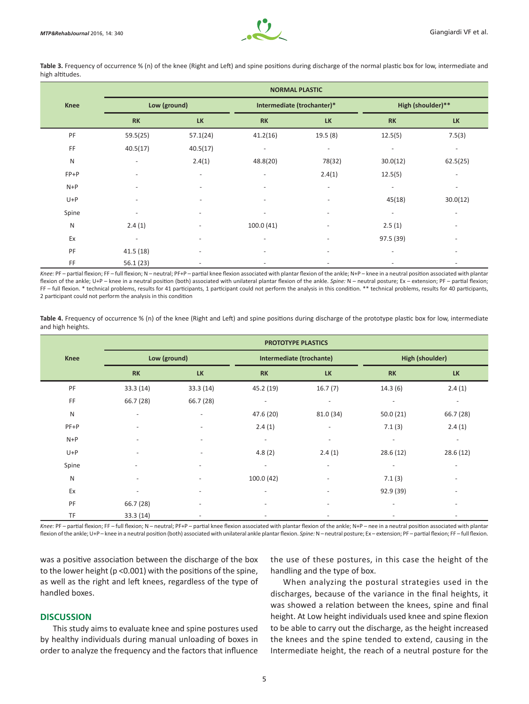

Table 3. Frequency of occurrence % (n) of the knee (Right and Left) and spine positions during discharge of the normal plastic box for low, intermediate and high altitudes.

|             | <b>NORMAL PLASTIC</b>    |                          |                              |                          |                          |                          |  |
|-------------|--------------------------|--------------------------|------------------------------|--------------------------|--------------------------|--------------------------|--|
| <b>Knee</b> | Low (ground)             |                          | Intermediate (trochanter)*   |                          | High (shoulder)**        |                          |  |
|             | RK                       | <b>LK</b>                | <b>RK</b>                    | <b>LK</b>                | <b>RK</b>                | <b>LK</b>                |  |
| PF          | 59.5(25)                 | 57.1(24)                 | 41.2(16)                     | 19.5 (8)                 | 12.5(5)                  | 7.5(3)                   |  |
| FF          | 40.5(17)                 | 40.5(17)                 | $\overline{\phantom{a}}$     |                          | $\overline{\phantom{a}}$ |                          |  |
| ${\sf N}$   | $\overline{\phantom{a}}$ | 2.4(1)                   | 48.8(20)                     | 78(32)                   | 30.0(12)                 | 62.5(25)                 |  |
| $FP+P$      |                          | $\overline{\phantom{a}}$ | $\overline{\phantom{a}}$     | 2.4(1)                   | 12.5(5)                  | $\overline{\phantom{a}}$ |  |
| $N+P$       | $\overline{\phantom{a}}$ | $\overline{\phantom{a}}$ | $\overline{\phantom{a}}$     | $\overline{\phantom{a}}$ | $\sim$                   | -                        |  |
| $U+P$       |                          |                          |                              | $\overline{\phantom{a}}$ | 45(18)                   | 30.0(12)                 |  |
| Spine       |                          |                          |                              |                          |                          |                          |  |
| ${\sf N}$   | 2.4(1)                   | $\overline{\phantom{a}}$ | 100.0(41)                    | $\overline{\phantom{a}}$ | 2.5(1)                   | $\overline{\phantom{a}}$ |  |
| Ex          | $\overline{\phantom{a}}$ | $\overline{\phantom{a}}$ | $\overline{\phantom{a}}$     | $\overline{\phantom{a}}$ | 97.5 (39)                | $\overline{\phantom{a}}$ |  |
| PF          | 41.5(18)                 | $\overline{\phantom{a}}$ | $\overline{\phantom{a}}$     |                          |                          | -                        |  |
| FF          | 56.1(23)                 | $\overline{\phantom{a}}$ | $\qquad \qquad \blacksquare$ |                          | $\overline{\phantom{a}}$ | $\overline{\phantom{a}}$ |  |

Knee: PF – partial flexion; FF – full flexion; N – neutral; PF+P – partial knee flexion associated with plantar flexion of the ankle; N+P – knee in a neutral position associated with plantar flexion of the ankle; U+P – knee in a neutral position (both) associated with unilateral plantar flexion of the ankle. Spine: N – neutral posture; Ex – extension; PF – partial flexion; FF – full flexion. \* technical problems, results for 41 participants, 1 participant could not perform the analysis in this condition. \*\* technical problems, results for 40 participants, 2 participant could not perform the analysis in this condition

Table 4. Frequency of occurrence % (n) of the knee (Right and Left) and spine positions during discharge of the prototype plastic box for low, intermediate and high heights.

|             | <b>PROTOTYPE PLASTICS</b>    |                          |                          |                          |                          |                          |  |
|-------------|------------------------------|--------------------------|--------------------------|--------------------------|--------------------------|--------------------------|--|
| <b>Knee</b> | Low (ground)                 |                          | Intermediate (trochante) |                          | <b>High (shoulder)</b>   |                          |  |
|             | <b>RK</b>                    | <b>LK</b>                | <b>RK</b>                | <b>LK</b>                | <b>RK</b>                | <b>LK</b>                |  |
| PF          | 33.3 (14)                    | 33.3(14)                 | 45.2 (19)                | 16.7(7)                  | 14.3(6)                  | 2.4(1)                   |  |
| FF          | 66.7 (28)                    | 66.7 (28)                | $\overline{\phantom{a}}$ | $\overline{\phantom{a}}$ | $\overline{\phantom{a}}$ | $\sim$                   |  |
| ${\sf N}$   | $\overline{\phantom{a}}$     | $\overline{\phantom{a}}$ | 47.6 (20)                | 81.0 (34)                | 50.0(21)                 | 66.7(28)                 |  |
| $PF+P$      | ٠                            | $\overline{\phantom{a}}$ | 2.4(1)                   | $\overline{\phantom{a}}$ | 7.1(3)                   | 2.4(1)                   |  |
| $N+P$       |                              |                          | $\overline{\phantom{a}}$ | $\overline{\phantom{a}}$ | $\overline{\phantom{a}}$ | $\sim$                   |  |
| $U+P$       |                              | $\overline{\phantom{a}}$ | 4.8(2)                   | 2.4(1)                   | 28.6(12)                 | 28.6(12)                 |  |
| Spine       | $\overline{\phantom{a}}$     | $\overline{\phantom{a}}$ | $\overline{\phantom{a}}$ | $\overline{\phantom{a}}$ | $\overline{\phantom{a}}$ | $\overline{\phantom{a}}$ |  |
| ${\sf N}$   | $\qquad \qquad \blacksquare$ | $\overline{\phantom{a}}$ | 100.0(42)                | $\overline{\phantom{a}}$ | 7.1(3)                   | $\overline{\phantom{a}}$ |  |
| Ex          |                              | $\overline{\phantom{a}}$ |                          |                          | 92.9(39)                 | $\overline{\phantom{a}}$ |  |
| PF          | 66.7 (28)                    | $\overline{\phantom{a}}$ | $\overline{\phantom{a}}$ |                          | ٠                        | $\overline{\phantom{a}}$ |  |
| TF          | 33.3(14)                     | $\overline{\phantom{a}}$ |                          |                          |                          | $\overline{\phantom{a}}$ |  |

Knee: PF – partial flexion: FF – full flexion: N – neutral; PF+P – partial knee flexion associated with plantar flexion of the ankle; N+P – nee in a neutral position associated with plantar flexion of the ankle; U+P – knee in a neutral position (both) associated with unilateral ankle plantar flexion. *Spine:* N – neutral posture; Ex – extension; PF – partial flexion; FF – full flexion.

was a positive association between the discharge of the box to the lower height (p <0.001) with the positions of the spine, as well as the right and left knees, regardless of the type of handled boxes.

## **DISCUSSION**

This study aims to evaluate knee and spine postures used by healthy individuals during manual unloading of boxes in order to analyze the frequency and the factors that influence the use of these postures, in this case the height of the handling and the type of box.

When analyzing the postural strategies used in the discharges, because of the variance in the final heights, it was showed a relation between the knees, spine and final height. At Low height individuals used knee and spine flexion to be able to carry out the discharge, as the height increased the knees and the spine tended to extend, causing in the Intermediate height, the reach of a neutral posture for the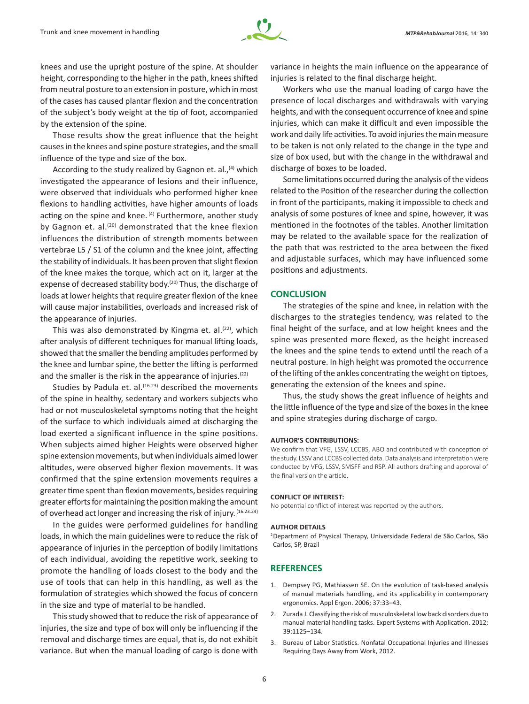

knees and use the upright posture of the spine. At shoulder height, corresponding to the higher in the path, knees shifted from neutral posture to an extension in posture, which in most of the cases has caused plantar flexion and the concentration of the subject's body weight at the tip of foot, accompanied by the extension of the spine.

Those results show the great influence that the height causes in the knees and spine posture strategies, and the small influence of the type and size of the box.

According to the study realized by Gagnon et. al.,<sup>(4)</sup> which investigated the appearance of lesions and their influence, were observed that individuals who performed higher knee flexions to handling activities, have higher amounts of loads acting on the spine and knee.  $(4)$  Furthermore, another study by Gagnon et. al.<sup>(20)</sup> demonstrated that the knee flexion influences the distribution of strength moments between vertebrae L5 / S1 of the column and the knee joint, affecting the stability of individuals. It has been proven that slight flexion of the knee makes the torque, which act on it, larger at the expense of decreased stability body.<sup>(20)</sup> Thus, the discharge of loads at lower heights that require greater flexion of the knee will cause major instabilities, overloads and increased risk of the appearance of injuries.

This was also demonstrated by Kingma et. al.<sup>(22)</sup>, which after analysis of different techniques for manual lifting loads, showed that the smaller the bending amplitudes performed by the knee and lumbar spine, the better the lifting is performed and the smaller is the risk in the appearance of injuries. $(22)$ 

Studies by Padula et. al.<sup>(16.23)</sup> described the movements of the spine in healthy, sedentary and workers subjects who had or not musculoskeletal symptoms noting that the height of the surface to which individuals aimed at discharging the load exerted a significant influence in the spine positions. When subjects aimed higher Heights were observed higher spine extension movements, but when individuals aimed lower altitudes, were observed higher flexion movements. It was confirmed that the spine extension movements requires a greater time spent than flexion movements, besides requiring greater efforts for maintaining the position making the amount of overhead act longer and increasing the risk of injury. (16.23.24)

In the guides were performed guidelines for handling loads, in which the main guidelines were to reduce the risk of appearance of injuries in the perception of bodily limitations of each individual, avoiding the repetitive work, seeking to promote the handling of loads closest to the body and the use of tools that can help in this handling, as well as the formulation of strategies which showed the focus of concern in the size and type of material to be handled.

This study showed that to reduce the risk of appearance of injuries, the size and type of box will only be influencing if the removal and discharge times are equal, that is, do not exhibit variance. But when the manual loading of cargo is done with variance in heights the main influence on the appearance of injuries is related to the final discharge height.

Workers who use the manual loading of cargo have the presence of local discharges and withdrawals with varying heights, and with the consequent occurrence of knee and spine injuries, which can make it difficult and even impossible the work and daily life activities. To avoid injuries the main measure to be taken is not only related to the change in the type and size of box used, but with the change in the withdrawal and discharge of boxes to be loaded.

Some limitations occurred during the analysis of the videos related to the Position of the researcher during the collection in front of the participants, making it impossible to check and analysis of some postures of knee and spine, however, it was mentioned in the footnotes of the tables. Another limitation may be related to the available space for the realization of the path that was restricted to the area between the fixed and adjustable surfaces, which may have influenced some positions and adjustments.

## **CONCLUSION**

The strategies of the spine and knee, in relation with the discharges to the strategies tendency, was related to the final height of the surface, and at low height knees and the spine was presented more flexed, as the height increased the knees and the spine tends to extend until the reach of a neutral posture. In high height was promoted the occurrence of the lifting of the ankles concentrating the weight on tiptoes, generating the extension of the knees and spine.

Thus, the study shows the great influence of heights and the little influence of the type and size of the boxes in the knee and spine strategies during discharge of cargo.

#### **AUTHOR'S CONTRIBUTIONS:**

We confirm that VFG, LSSV, LCCBS, ABO and contributed with conception of the study. LSSV and LCCBS collected data. Data analysis and interpretation were conducted by VFG, LSSV, SMSFF and RSP. All authors drafting and approval of the final version the article.

#### **CONFLICT OF INTEREST:**

No potential conflict of interest was reported by the authors.

#### **AUTHOR DETAILS**

<sup>2</sup>Department of Physical Therapy, Universidade Federal de São Carlos, São Carlos, SP, Brazil

## **REFERENCES**

- 1. Dempsey PG, Mathiassen SE. On the evolution of task-based analysis of manual materials handling, and its applicability in contemporary ergonomics. Appl Ergon. 2006; 37:33–43.
- 2. Zurada J. Classifying the risk of musculoskeletal low back disorders due to manual material handling tasks. Expert Systems with Application. 2012; 39:1125–134.
- 3. Bureau of Labor Statistics. Nonfatal Occupational Injuries and Illnesses Requiring Days Away from Work, 2012.